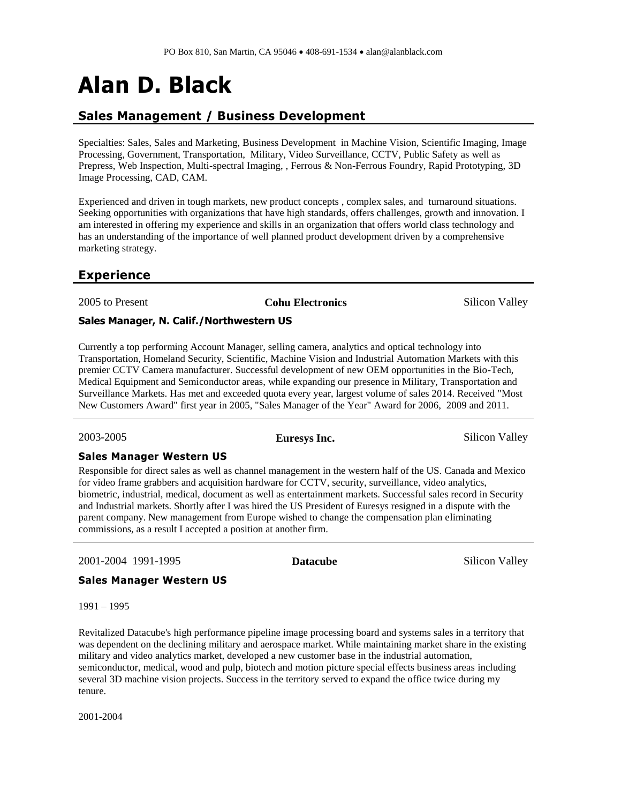# **Alan D. Black**

#### **Sales Management / Business Development**

Specialties: Sales, Sales and Marketing, Business Development in Machine Vision, Scientific Imaging, Image Processing, Government, Transportation, Military, Video Surveillance, CCTV, Public Safety as well as Prepress, Web Inspection, Multi-spectral Imaging, , Ferrous & Non-Ferrous Foundry, Rapid Prototyping, 3D Image Processing, CAD, CAM.

Experienced and driven in tough markets, new product concepts , complex sales, and turnaround situations. Seeking opportunities with organizations that have high standards, offers challenges, growth and innovation. I am interested in offering my experience and skills in an organization that offers world class technology and has an understanding of the importance of well planned product development driven by a comprehensive marketing strategy.

#### **Experience**

2005 to Present **Cohu Electronics** Silicon Valley

#### **Sales Manager, N. [Calif./Northwestern US](http://www.linkedin.com/search?search=&title=Sales+Manager%2C+N%2E+Calif%2E%2FNorthwestern+US&sortCriteria=R&keepFacets=true¤tTitle=CP&trk=prof-exp-title)**

Currently a top performing Account Manager, selling camera, analytics and optical technology into Transportation, Homeland Security, Scientific, Machine Vision and Industrial Automation Markets with this premier CCTV Camera manufacturer. Successful development of new OEM opportunities in the Bio-Tech, Medical Equipment and Semiconductor areas, while expanding our presence in Military, Transportation and Surveillance Markets. Has met and exceeded quota every year, largest volume of sales 2014. Received "Most New Customers Award" first year in 2005, "Sales Manager of the Year" Award for 2006, 2009 and 2011.

2003-2005 **Euresys Inc.** Silicon Valley

#### **Sales Manager Western US**

Responsible for direct sales as well as channel management in the western half of the US. Canada and Mexico for video frame grabbers and acquisition hardware for CCTV, security, surveillance, video analytics, biometric, industrial, medical, document as well as entertainment markets. Successful sales record in Security and Industrial markets. Shortly after I was hired the US President of Euresys resigned in a dispute with the parent company. New management from Europe wished to change the compensation plan eliminating commissions, as a result I accepted a position at another firm.

2001-2004 1991-1995 **Datacube** Silicon Valley

#### **Sales Manager Western US**

1991 – 1995

Revitalized Datacube's high performance pipeline image processing board and systems sales in a territory that was dependent on the declining military and aerospace market. While maintaining market share in the existing military and video analytics market, developed a new customer base in the industrial automation, semiconductor, medical, wood and pulp, biotech and motion picture special effects business areas including several 3D machine vision projects. Success in the territory served to expand the office twice during my tenure.

2001-2004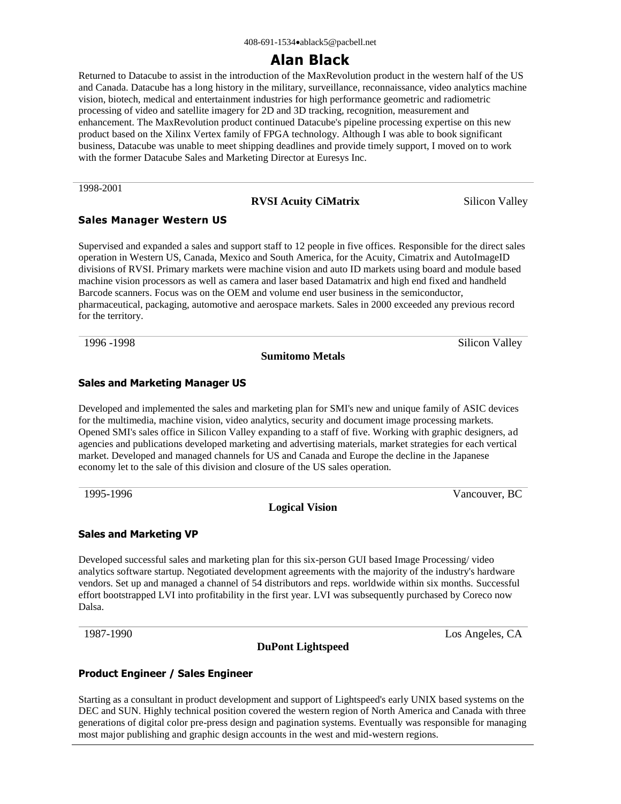# **Alan Black**

Returned to Datacube to assist in the introduction of the MaxRevolution product in the western half of the US and Canada. Datacube has a long history in the military, surveillance, reconnaissance, video analytics machine vision, biotech, medical and entertainment industries for high performance geometric and radiometric processing of video and satellite imagery for 2D and 3D tracking, recognition, measurement and enhancement. The MaxRevolution product continued Datacube's pipeline processing expertise on this new product based on the Xilinx Vertex family of FPGA technology. Although I was able to book significant business, Datacube was unable to meet shipping deadlines and provide timely support, I moved on to work with the former Datacube Sales and Marketing Director at Euresys Inc.

[1998-2001](http://www.linkedin.com/search?search=&company=RVSI+Acuity+CiMatrix&sortCriteria=R&keepFacets=true&trk=prof-exp-company-name)

#### **[RVSI Acuity CiMatrix](http://www.linkedin.com/search?search=&company=RVSI+Acuity+CiMatrix&sortCriteria=R&keepFacets=true&trk=prof-exp-company-name)** Silicon Valley

#### **Sales Manager Western US**

Supervised and expanded a sales and support staff to 12 people in five offices. Responsible for the direct sales operation in Western US, Canada, Mexico and South America, for the Acuity, Cimatrix and AutoImageID divisions of RVSI. Primary markets were machine vision and auto ID markets using board and module based machine vision processors as well as camera and laser based Datamatrix and high end fixed and handheld Barcode scanners. Focus was on the OEM and volume end user business in the semiconductor, pharmaceutical, packaging, automotive and aerospace markets. Sales in 2000 exceeded any previous record for the territory.

1996 -1998 Silicon Valley

**Sumitomo Metals**

#### **Sales and Marketing Manager US**

Developed and implemented the sales and marketing plan for SMI's new and unique family of ASIC devices for the multimedia, machine vision, video analytics, security and document image processing markets. Opened SMI's sales office in Silicon Valley expanding to a staff of five. Working with graphic designers, ad agencies and publications developed marketing and advertising materials, market strategies for each vertical market. Developed and managed channels for US and Canada and Europe the decline in the Japanese economy let to the sale of this division and closure of the US sales operation.

1995-1996 Vancouver, BC

#### **Logical Vision**

#### **Sales and Marketing VP**

Developed successful sales and marketing plan for this six-person GUI based Image Processing/ video analytics software startup. Negotiated development agreements with the majority of the industry's hardware vendors. Set up and managed a channel of 54 distributors and reps. worldwide within six months. Successful effort bootstrapped LVI into profitability in the first year. LVI was subsequently purchased by Coreco now Dalsa.

**DuPont Lightspeed**

1987-1990 Los Angeles, CA

#### **Product Engineer / Sales Engineer**

Starting as a consultant in product development and support of Lightspeed's early UNIX based systems on the DEC and SUN. Highly technical position covered the western region of North America and Canada with three generations of digital color pre-press design and pagination systems. Eventually was responsible for managing most major publishing and graphic design accounts in the west and mid-western regions.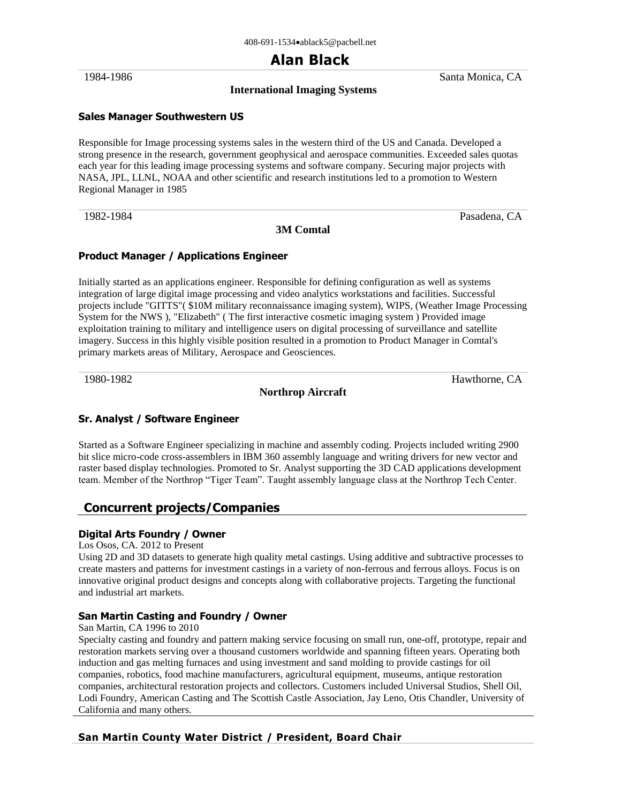# **Alan Black**

#### **International Imaging Systems**

1984-1986 Santa Monica, CA

#### **Sales Manager Southwestern US**

Responsible for Image processing systems sales in the western third of the US and Canada. Developed a strong presence in the research, government geophysical and aerospace communities. Exceeded sales quotas each year for this leading image processing systems and software company. Securing major projects with NASA, JPL, LLNL, NOAA and other scientific and research institutions led to a promotion to Western Regional Manager in 1985

1982-1984 **Pasadena, CA** 

#### **3M Comtal**

#### **Product Manager / Applications Engineer**

Initially started as an applications engineer. Responsible for defining configuration as well as systems integration of large digital image processing and video analytics workstations and facilities. Successful projects include "GITTS"( \$10M military reconnaissance imaging system), WIPS, (Weather Image Processing System for the NWS ), "Elizabeth" ( The first interactive cosmetic imaging system ) Provided image exploitation training to military and intelligence users on digital processing of surveillance and satellite imagery. Success in this highly visible position resulted in a promotion to Product Manager in Comtal's primary markets areas of Military, Aerospace and Geosciences.

**Northrop Aircraft**

1980-1982 Hawthorne, CA

#### **Sr. Analyst / Software Engineer**

Started as a Software Engineer specializing in machine and assembly coding. Projects included writing 2900 bit slice micro-code cross-assemblers in IBM 360 assembly language and writing drivers for new vector and raster based display technologies. Promoted to Sr. Analyst supporting the 3D CAD applications development team. Member of the Northrop "Tiger Team". Taught assembly language class at the Northrop Tech Center.

#### **Concurrent projects/Companies**

#### **Digital Arts Foundry / Owner**

#### Los Osos, CA. 2012 to Present

Using 2D and 3D datasets to generate high quality metal castings. Using additive and subtractive processes to create masters and patterns for investment castings in a variety of non-ferrous and ferrous alloys. Focus is on innovative original product designs and concepts along with collaborative projects. Targeting the functional and industrial art markets.

#### **San Martin Casting and Foundry / Owner**

#### San Martin, CA 1996 to 2010

Specialty casting and foundry and pattern making service focusing on small run, one-off, prototype, repair and restoration markets serving over a thousand customers worldwide and spanning fifteen years. Operating both induction and gas melting furnaces and using investment and sand molding to provide castings for oil companies, robotics, food machine manufacturers, agricultural equipment, museums, antique restoration companies, architectural restoration projects and collectors. Customers included Universal Studios, Shell Oil, Lodi Foundry, American Casting and The Scottish Castle Association, Jay Leno, Otis Chandler, University of California and many others.

#### **San Martin County Water District / President, Board Chair**